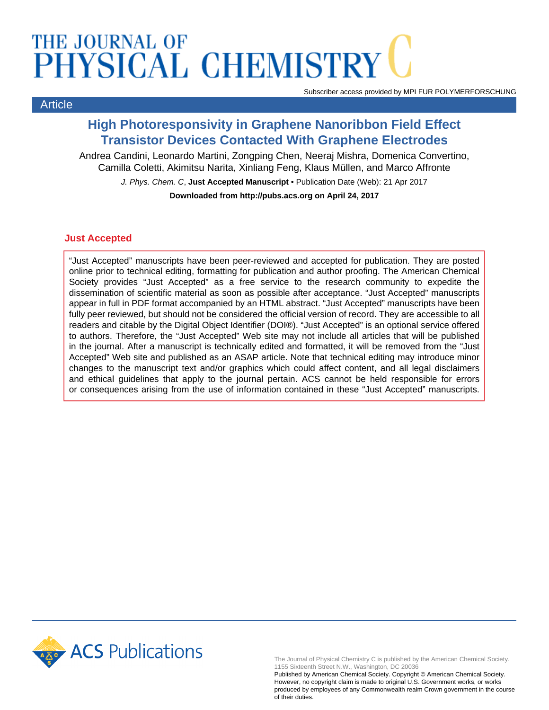## THE JOURNAL OF PHYSICAL CHEMISTRY

Article

Subscriber access provided by MPI FUR POLYMERFORSCHUNG

### **High Photoresponsivity in Graphene Nanoribbon Field Effect Transistor Devices Contacted With Graphene Electrodes**

Andrea Candini, Leonardo Martini, Zongping Chen, Neeraj Mishra, Domenica Convertino, Camilla Coletti, Akimitsu Narita, Xinliang Feng, Klaus Müllen, and Marco Affronte J. Phys. Chem. C, **Just Accepted Manuscript** • Publication Date (Web): 21 Apr 2017 **Downloaded from http://pubs.acs.org on April 24, 2017**

#### **Just Accepted**

"Just Accepted" manuscripts have been peer-reviewed and accepted for publication. They are posted online prior to technical editing, formatting for publication and author proofing. The American Chemical Society provides "Just Accepted" as a free service to the research community to expedite the dissemination of scientific material as soon as possible after acceptance. "Just Accepted" manuscripts appear in full in PDF format accompanied by an HTML abstract. "Just Accepted" manuscripts have been fully peer reviewed, but should not be considered the official version of record. They are accessible to all readers and citable by the Digital Object Identifier (DOI®). "Just Accepted" is an optional service offered to authors. Therefore, the "Just Accepted" Web site may not include all articles that will be published in the journal. After a manuscript is technically edited and formatted, it will be removed from the "Just Accepted" Web site and published as an ASAP article. Note that technical editing may introduce minor changes to the manuscript text and/or graphics which could affect content, and all legal disclaimers and ethical guidelines that apply to the journal pertain. ACS cannot be held responsible for errors or consequences arising from the use of information contained in these "Just Accepted" manuscripts.



The Journal of Physical Chemistry C is published by the American Chemical Society. 1155 Sixteenth Street N.W., Washington, DC 20036

Published by American Chemical Society. Copyright © American Chemical Society. However, no copyright claim is made to original U.S. Government works, or works produced by employees of any Commonwealth realm Crown government in the course of their duties.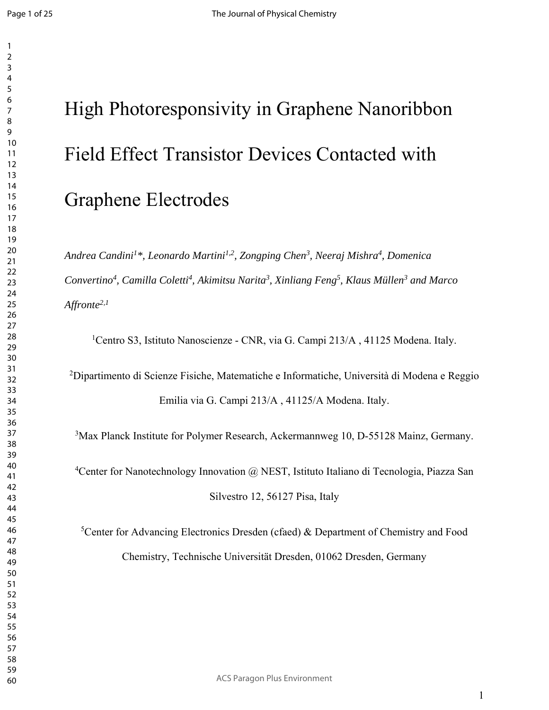#### 

# High Photoresponsivity in Graphene Nanoribbon Field Effect Transistor Devices Contacted with Graphene Electrodes

*Andrea Candini1\*, Leonardo Martini1,2, Zongping Chen3, Neeraj Mishra4 , Domenica*  Convertino<sup>4</sup>, Camilla Coletti<sup>4</sup>, Akimitsu Narita<sup>3</sup>, Xinliang Feng<sup>5</sup>, Klaus Müllen<sup>3</sup> and Marco *Affronte2,1* 

<sup>1</sup>Centro S3, Istituto Nanoscienze - CNR, via G. Campi 213/A, 41125 Modena. Italy.

<sup>2</sup>Dipartimento di Scienze Fisiche, Matematiche e Informatiche, Università di Modena e Reggio Emilia via G. Campi 213/A , 41125/A Modena. Italy.

<sup>3</sup>Max Planck Institute for Polymer Research, Ackermannweg 10, D-55128 Mainz, Germany.

<sup>4</sup>Center for Nanotechnology Innovation @ NEST, Istituto Italiano di Tecnologia, Piazza San Silvestro 12, 56127 Pisa, Italy

<sup>5</sup>Center for Advancing Electronics Dresden (cfaed) & Department of Chemistry and Food Chemistry, Technische Universität Dresden, 01062 Dresden, Germany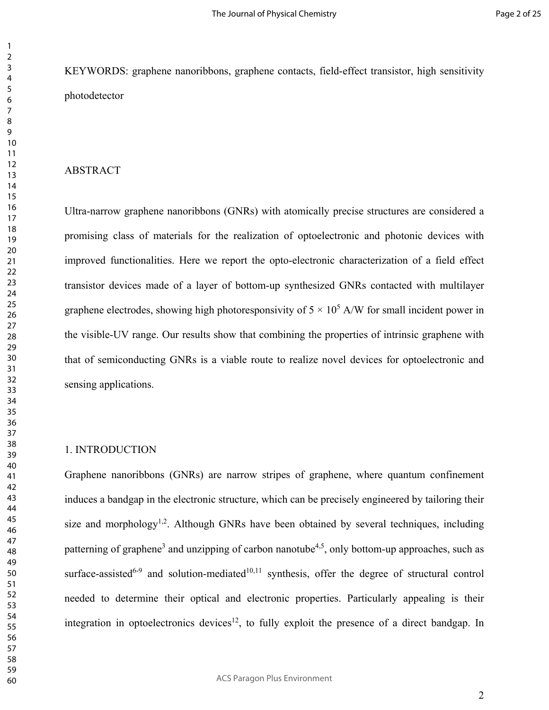KEYWORDS: graphene nanoribbons, graphene contacts, field-effect transistor, high sensitivity photodetector

#### ABSTRACT

Ultra-narrow graphene nanoribbons (GNRs) with atomically precise structures are considered a promising class of materials for the realization of optoelectronic and photonic devices with improved functionalities. Here we report the opto-electronic characterization of a field effect transistor devices made of a layer of bottom-up synthesized GNRs contacted with multilayer graphene electrodes, showing high photoresponsivity of  $5 \times 10^5$  A/W for small incident power in the visible-UV range. Our results show that combining the properties of intrinsic graphene with that of semiconducting GNRs is a viable route to realize novel devices for optoelectronic and sensing applications.

#### 1. INTRODUCTION

Graphene nanoribbons (GNRs) are narrow stripes of graphene, where quantum confinement induces a bandgap in the electronic structure, which can be precisely engineered by tailoring their size and morphology<sup>1,2</sup>. Although GNRs have been obtained by several techniques, including patterning of graphene<sup>3</sup> and unzipping of carbon nanotube<sup>4,5</sup>, only bottom-up approaches, such as surface-assisted<sup>6-9</sup> and solution-mediated<sup>10,11</sup> synthesis, offer the degree of structural control needed to determine their optical and electronic properties. Particularly appealing is their integration in optoelectronics devices<sup>12</sup>, to fully exploit the presence of a direct bandgap. In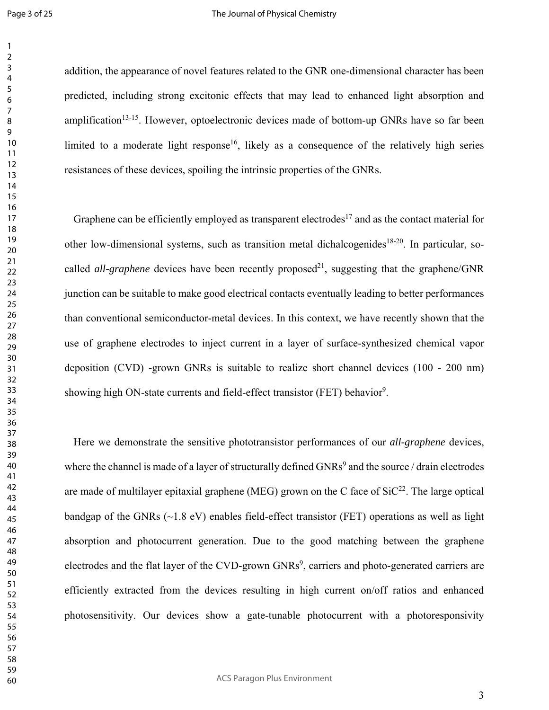#### The Journal of Physical Chemistry

addition, the appearance of novel features related to the GNR one-dimensional character has been predicted, including strong excitonic effects that may lead to enhanced light absorption and amplification<sup>13-15</sup>. However, optoelectronic devices made of bottom-up GNRs have so far been limited to a moderate light response<sup>16</sup>, likely as a consequence of the relatively high series resistances of these devices, spoiling the intrinsic properties of the GNRs.

Graphene can be efficiently employed as transparent electrodes<sup>17</sup> and as the contact material for other low-dimensional systems, such as transition metal dichalcogenides<sup>18-20</sup>. In particular, socalled *all-graphene* devices have been recently proposed<sup>21</sup>, suggesting that the graphene/GNR junction can be suitable to make good electrical contacts eventually leading to better performances than conventional semiconductor-metal devices. In this context, we have recently shown that the use of graphene electrodes to inject current in a layer of surface-synthesized chemical vapor deposition (CVD) -grown GNRs is suitable to realize short channel devices (100 - 200 nm) showing high ON-state currents and field-effect transistor (FET) behavior<sup>9</sup>.

Here we demonstrate the sensitive phototransistor performances of our *all-graphene* devices, where the channel is made of a layer of structurally defined  $GNRs<sup>9</sup>$  and the source / drain electrodes are made of multilayer epitaxial graphene (MEG) grown on the C face of  $SiC^{22}$ . The large optical bandgap of the GNRs ( $\sim$ 1.8 eV) enables field-effect transistor (FET) operations as well as light absorption and photocurrent generation. Due to the good matching between the graphene electrodes and the flat layer of the CVD-grown GNRs<sup>9</sup>, carriers and photo-generated carriers are efficiently extracted from the devices resulting in high current on/off ratios and enhanced photosensitivity. Our devices show a gate-tunable photocurrent with a photoresponsivity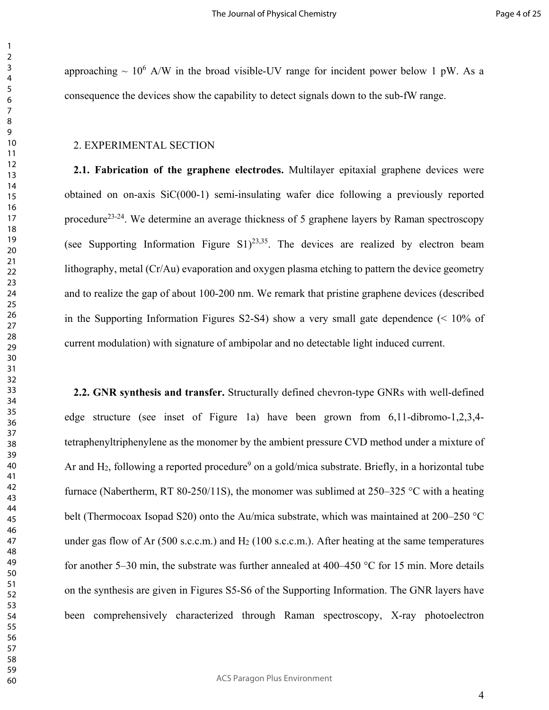approaching  $\sim 10^6$  A/W in the broad visible-UV range for incident power below 1 pW. As a consequence the devices show the capability to detect signals down to the sub-fW range.

#### 2. EXPERIMENTAL SECTION

**2.1. Fabrication of the graphene electrodes.** Multilayer epitaxial graphene devices were obtained on on-axis SiC(000-1) semi-insulating wafer dice following a previously reported procedure<sup>23-24</sup>. We determine an average thickness of 5 graphene layers by Raman spectroscopy (see Supporting Information Figure S1)<sup>23,35</sup>. The devices are realized by electron beam lithography, metal (Cr/Au) evaporation and oxygen plasma etching to pattern the device geometry and to realize the gap of about 100-200 nm. We remark that pristine graphene devices (described in the Supporting Information Figures S2-S4) show a very small gate dependence  $\ll 10\%$  of current modulation) with signature of ambipolar and no detectable light induced current.

**2.2. GNR synthesis and transfer.** Structurally defined chevron-type GNRs with well-defined edge structure (see inset of Figure 1a) have been grown from 6,11-dibromo-1,2,3,4 tetraphenyltriphenylene as the monomer by the ambient pressure CVD method under a mixture of Ar and H<sub>2</sub>, following a reported procedure<sup>9</sup> on a gold/mica substrate. Briefly, in a horizontal tube furnace (Nabertherm, RT 80-250/11S), the monomer was sublimed at 250–325 °C with a heating belt (Thermocoax Isopad S20) onto the Au/mica substrate, which was maintained at 200–250 °C under gas flow of Ar (500 s.c.c.m.) and H<sub>2</sub> (100 s.c.c.m.). After heating at the same temperatures for another 5–30 min, the substrate was further annealed at 400–450 °C for 15 min. More details on the synthesis are given in Figures S5-S6 of the Supporting Information. The GNR layers have been comprehensively characterized through Raman spectroscopy, X-ray photoelectron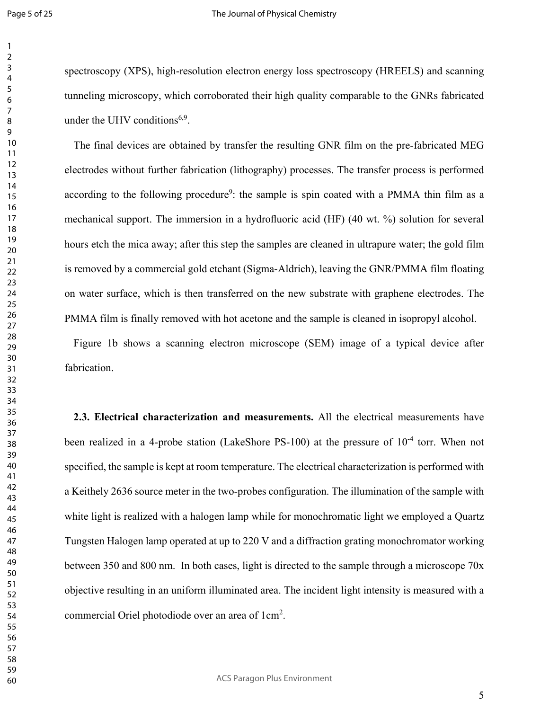#### The Journal of Physical Chemistry

spectroscopy (XPS), high-resolution electron energy loss spectroscopy (HREELS) and scanning tunneling microscopy, which corroborated their high quality comparable to the GNRs fabricated under the UHV conditions<sup>6,9</sup>.

The final devices are obtained by transfer the resulting GNR film on the pre-fabricated MEG electrodes without further fabrication (lithography) processes. The transfer process is performed according to the following procedure<sup>9</sup>: the sample is spin coated with a PMMA thin film as a mechanical support. The immersion in a hydrofluoric acid (HF) (40 wt. %) solution for several hours etch the mica away; after this step the samples are cleaned in ultrapure water; the gold film is removed by a commercial gold etchant (Sigma-Aldrich), leaving the GNR/PMMA film floating on water surface, which is then transferred on the new substrate with graphene electrodes. The PMMA film is finally removed with hot acetone and the sample is cleaned in isopropyl alcohol.

Figure 1b shows a scanning electron microscope (SEM) image of a typical device after fabrication.

**2.3. Electrical characterization and measurements.** All the electrical measurements have been realized in a 4-probe station (LakeShore PS-100) at the pressure of  $10^{-4}$  torr. When not specified, the sample is kept at room temperature. The electrical characterization is performed with a Keithely 2636 source meter in the two-probes configuration. The illumination of the sample with white light is realized with a halogen lamp while for monochromatic light we employed a Quartz Tungsten Halogen lamp operated at up to 220 V and a diffraction grating monochromator working between 350 and 800 nm. In both cases, light is directed to the sample through a microscope 70x objective resulting in an uniform illuminated area. The incident light intensity is measured with a commercial Oriel photodiode over an area of 1cm<sup>2</sup>.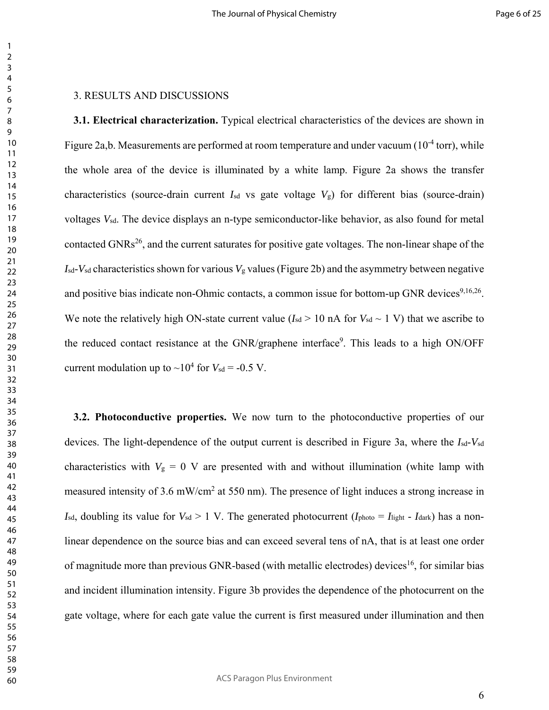#### 3. RESULTS AND DISCUSSIONS

**3.1. Electrical characterization.** Typical electrical characteristics of the devices are shown in Figure 2a,b. Measurements are performed at room temperature and under vacuum  $(10^{-4} \text{ torr})$ , while the whole area of the device is illuminated by a white lamp. Figure 2a shows the transfer characteristics (source-drain current  $I_{sd}$  vs gate voltage  $V_g$ ) for different bias (source-drain) voltages *V*sd. The device displays an n-type semiconductor-like behavior, as also found for metal contacted GNRs<sup>26</sup>, and the current saturates for positive gate voltages. The non-linear shape of the  $I_{sd}$ - $V_{sd}$  characteristics shown for various  $V_g$  values (Figure 2b) and the asymmetry between negative and positive bias indicate non-Ohmic contacts, a common issue for bottom-up GNR devices<sup>9,16,26</sup>. We note the relatively high ON-state current value ( $I_{sd} > 10$  nA for  $V_{sd} \sim 1$  V) that we ascribe to the reduced contact resistance at the GNR/graphene interface<sup>9</sup>. This leads to a high ON/OFF current modulation up to  $\sim 10^4$  for  $V_{sd} = -0.5$  V.

**3.2. Photoconductive properties.** We now turn to the photoconductive properties of our devices. The light-dependence of the output current is described in Figure 3a, where the *I*sd-*V*sd characteristics with  $V_g = 0$  V are presented with and without illumination (white lamp with measured intensity of 3.6 mW/cm<sup>2</sup> at 550 nm). The presence of light induces a strong increase in *I*sd, doubling its value for  $V_{sd} > 1$  V. The generated photocurrent ( $I_{photo} = I_{light}$  -  $I_{dark}$ ) has a nonlinear dependence on the source bias and can exceed several tens of nA, that is at least one order of magnitude more than previous GNR-based (with metallic electrodes) devices<sup>16</sup>, for similar bias and incident illumination intensity. Figure 3b provides the dependence of the photocurrent on the gate voltage, where for each gate value the current is first measured under illumination and then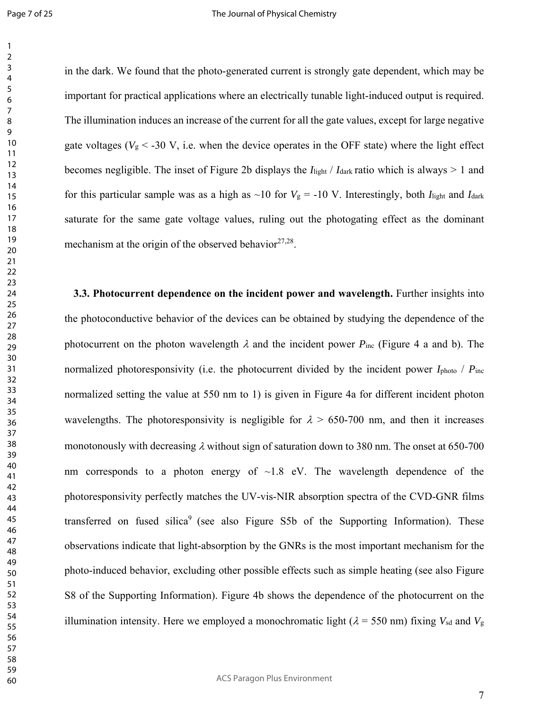in the dark. We found that the photo-generated current is strongly gate dependent, which may be important for practical applications where an electrically tunable light-induced output is required. The illumination induces an increase of the current for all the gate values, except for large negative gate voltages ( $V_g < -30$  V, i.e. when the device operates in the OFF state) where the light effect becomes negligible. The inset of Figure 2b displays the *I*light / *I*dark ratio which is always > 1 and for this particular sample was as a high as  $\sim$ 10 for  $V_g$  = -10 V. Interestingly, both *I*<sub>light</sub> and *I*<sub>dark</sub> saturate for the same gate voltage values, ruling out the photogating effect as the dominant mechanism at the origin of the observed behavior  $27,28$ .

**3.3. Photocurrent dependence on the incident power and wavelength.** Further insights into the photoconductive behavior of the devices can be obtained by studying the dependence of the photocurrent on the photon wavelength  $\lambda$  and the incident power  $P_{inc}$  (Figure 4 a and b). The normalized photoresponsivity (i.e. the photocurrent divided by the incident power *I*<sub>photo</sub> / *P*<sub>inc</sub> normalized setting the value at 550 nm to 1) is given in Figure 4a for different incident photon wavelengths. The photoresponsivity is negligible for  $\lambda > 650-700$  nm, and then it increases monotonously with decreasing  $\lambda$  without sign of saturation down to 380 nm. The onset at 650-700 nm corresponds to a photon energy of  $\sim$ 1.8 eV. The wavelength dependence of the photoresponsivity perfectly matches the UV-vis-NIR absorption spectra of the CVD-GNR films transferred on fused silica<sup>9</sup> (see also Figure S5b of the Supporting Information). These observations indicate that light-absorption by the GNRs is the most important mechanism for the photo-induced behavior, excluding other possible effects such as simple heating (see also Figure S8 of the Supporting Information). Figure 4b shows the dependence of the photocurrent on the illumination intensity. Here we employed a monochromatic light ( $\lambda$  = 550 nm) fixing  $V_{sd}$  and  $V_g$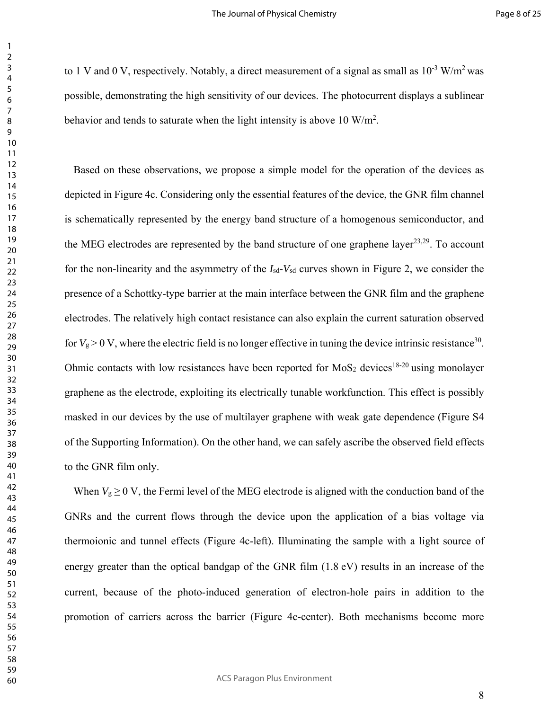to 1 V and 0 V, respectively. Notably, a direct measurement of a signal as small as  $10^{-3}$  W/m<sup>2</sup> was possible, demonstrating the high sensitivity of our devices. The photocurrent displays a sublinear behavior and tends to saturate when the light intensity is above 10  $W/m^2$ .

Based on these observations, we propose a simple model for the operation of the devices as depicted in Figure 4c. Considering only the essential features of the device, the GNR film channel is schematically represented by the energy band structure of a homogenous semiconductor, and the MEG electrodes are represented by the band structure of one graphene layer $^{23,29}$ . To account for the non-linearity and the asymmetry of the *I*sd-*V*sd curves shown in Figure 2, we consider the presence of a Schottky-type barrier at the main interface between the GNR film and the graphene electrodes. The relatively high contact resistance can also explain the current saturation observed for  $V_g > 0$  V, where the electric field is no longer effective in tuning the device intrinsic resistance<sup>30</sup>. Ohmic contacts with low resistances have been reported for MoS<sub>2</sub> devices<sup>18-20</sup> using monolayer graphene as the electrode, exploiting its electrically tunable workfunction. This effect is possibly masked in our devices by the use of multilayer graphene with weak gate dependence (Figure S4 of the Supporting Information). On the other hand, we can safely ascribe the observed field effects to the GNR film only.

When  $V_g \geq 0$  V, the Fermi level of the MEG electrode is aligned with the conduction band of the GNRs and the current flows through the device upon the application of a bias voltage via thermoionic and tunnel effects (Figure 4c-left). Illuminating the sample with a light source of energy greater than the optical bandgap of the GNR film  $(1.8 \text{ eV})$  results in an increase of the current, because of the photo-induced generation of electron-hole pairs in addition to the promotion of carriers across the barrier (Figure 4c-center). Both mechanisms become more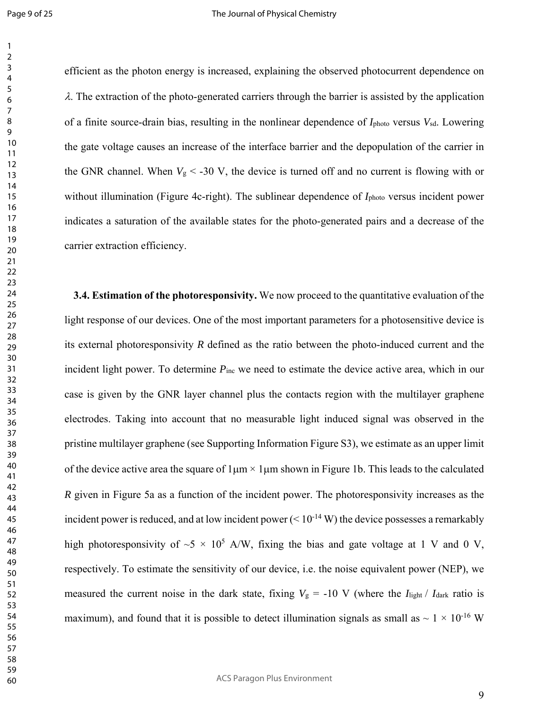efficient as the photon energy is increased, explaining the observed photocurrent dependence on  $\lambda$ . The extraction of the photo-generated carriers through the barrier is assisted by the application of a finite source-drain bias, resulting in the nonlinear dependence of *I*photo versus *V*sd. Lowering the gate voltage causes an increase of the interface barrier and the depopulation of the carrier in the GNR channel. When  $V_g < -30$  V, the device is turned off and no current is flowing with or without illumination (Figure 4c-right). The sublinear dependence of *I*<sub>photo</sub> versus incident power indicates a saturation of the available states for the photo-generated pairs and a decrease of the carrier extraction efficiency.

**3.4. Estimation of the photoresponsivity.** We now proceed to the quantitative evaluation of the light response of our devices. One of the most important parameters for a photosensitive device is its external photoresponsivity *R* defined as the ratio between the photo-induced current and the incident light power. To determine  $P_{inc}$  we need to estimate the device active area, which in our case is given by the GNR layer channel plus the contacts region with the multilayer graphene electrodes. Taking into account that no measurable light induced signal was observed in the pristine multilayer graphene (see Supporting Information Figure S3), we estimate as an upper limit of the device active area the square of  $1\mu m \times 1\mu m$  shown in Figure 1b. This leads to the calculated *R* given in Figure 5a as a function of the incident power. The photoresponsivity increases as the incident power is reduced, and at low incident power  $(< 10^{-14}$  W) the device possesses a remarkably high photoresponsivity of  $\sim$ 5  $\times$  10<sup>5</sup> A/W, fixing the bias and gate voltage at 1 V and 0 V, respectively. To estimate the sensitivity of our device, i.e. the noise equivalent power (NEP), we measured the current noise in the dark state, fixing  $V_g = -10$  V (where the  $I_{\text{light}}/I_{\text{dark}}$  ratio is maximum), and found that it is possible to detect illumination signals as small as  $\sim 1 \times 10^{-16}$  W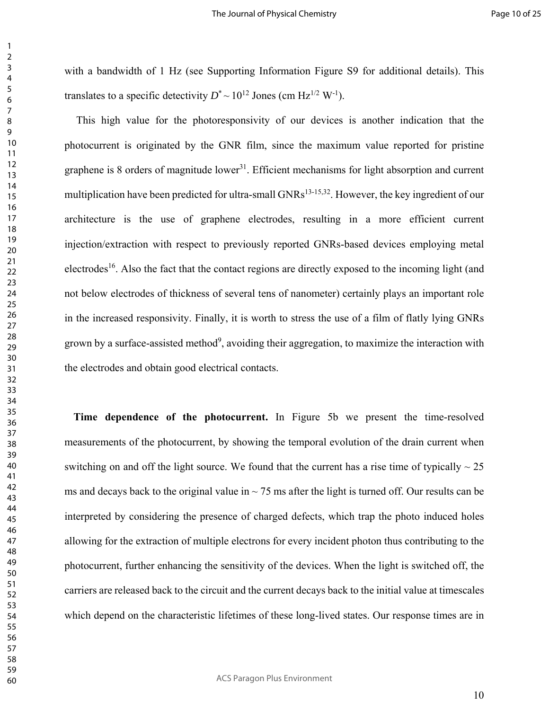with a bandwidth of 1 Hz (see Supporting Information Figure S9 for additional details). This translates to a specific detectivity  $D^* \sim 10^{12}$  Jones (cm Hz<sup>1/2</sup> W<sup>-1</sup>).

 This high value for the photoresponsivity of our devices is another indication that the photocurrent is originated by the GNR film, since the maximum value reported for pristine graphene is 8 orders of magnitude lower<sup>31</sup>. Efficient mechanisms for light absorption and current multiplication have been predicted for ultra-small GNRs<sup>13-15,32</sup>. However, the key ingredient of our architecture is the use of graphene electrodes, resulting in a more efficient current injection/extraction with respect to previously reported GNRs-based devices employing metal electrodes<sup>16</sup>. Also the fact that the contact regions are directly exposed to the incoming light (and not below electrodes of thickness of several tens of nanometer) certainly plays an important role in the increased responsivity. Finally, it is worth to stress the use of a film of flatly lying GNRs grown by a surface-assisted method<sup>9</sup>, avoiding their aggregation, to maximize the interaction with the electrodes and obtain good electrical contacts.

**Time dependence of the photocurrent.** In Figure 5b we present the time-resolved measurements of the photocurrent, by showing the temporal evolution of the drain current when switching on and off the light source. We found that the current has a rise time of typically  $\sim$  25 ms and decays back to the original value in  $\sim$  75 ms after the light is turned off. Our results can be interpreted by considering the presence of charged defects, which trap the photo induced holes allowing for the extraction of multiple electrons for every incident photon thus contributing to the photocurrent, further enhancing the sensitivity of the devices. When the light is switched off, the carriers are released back to the circuit and the current decays back to the initial value at timescales which depend on the characteristic lifetimes of these long-lived states. Our response times are in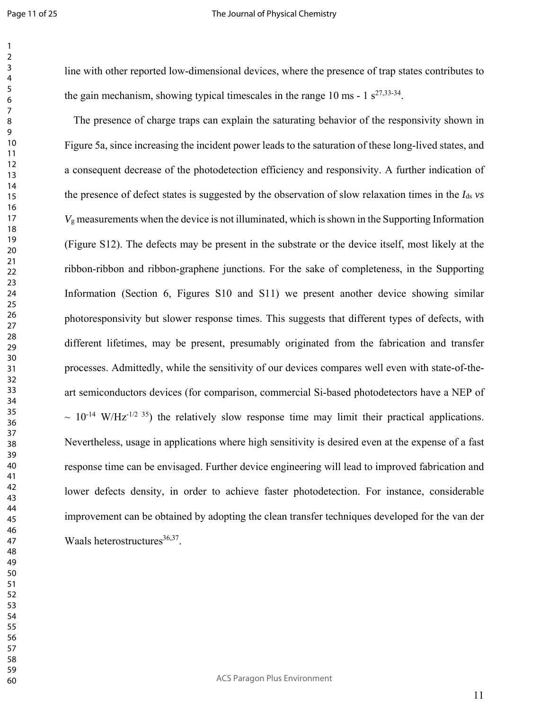#### The Journal of Physical Chemistry

line with other reported low-dimensional devices, where the presence of trap states contributes to the gain mechanism, showing typical timescales in the range 10 ms -  $1 \text{ s}^{27,33-34}$ .

The presence of charge traps can explain the saturating behavior of the responsivity shown in Figure 5a, since increasing the incident power leads to the saturation of these long-lived states, and a consequent decrease of the photodetection efficiency and responsivity. A further indication of the presence of defect states is suggested by the observation of slow relaxation times in the *I*ds *vs*  $V_{\rm g}$  measurements when the device is not illuminated, which is shown in the Supporting Information (Figure S12). The defects may be present in the substrate or the device itself, most likely at the ribbon-ribbon and ribbon-graphene junctions. For the sake of completeness, in the Supporting Information (Section 6, Figures S10 and S11) we present another device showing similar photoresponsivity but slower response times. This suggests that different types of defects, with different lifetimes, may be present, presumably originated from the fabrication and transfer processes. Admittedly, while the sensitivity of our devices compares well even with state-of-theart semiconductors devices (for comparison, commercial Si-based photodetectors have a NEP of  $\sim 10^{-14}$  W/Hz<sup>-1/2 35</sup>) the relatively slow response time may limit their practical applications. Nevertheless, usage in applications where high sensitivity is desired even at the expense of a fast response time can be envisaged. Further device engineering will lead to improved fabrication and lower defects density, in order to achieve faster photodetection. For instance, considerable improvement can be obtained by adopting the clean transfer techniques developed for the van der Waals heterostructures $36,37$ .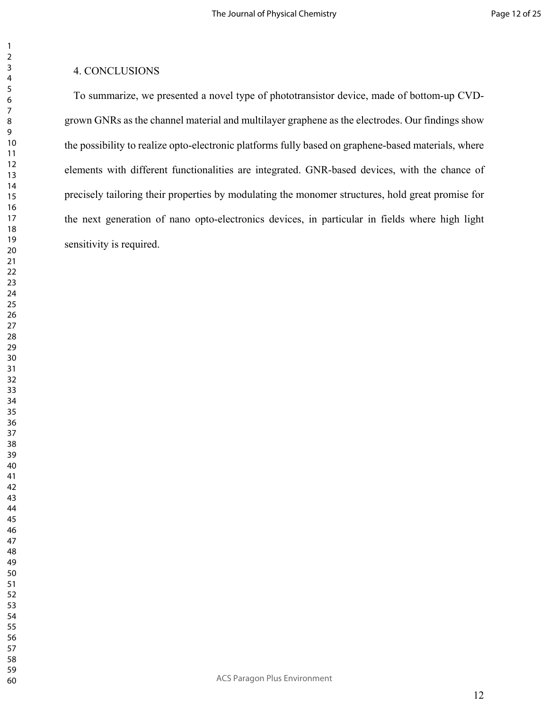#### 4. CONCLUSIONS

To summarize, we presented a novel type of phototransistor device, made of bottom-up CVDgrown GNRs as the channel material and multilayer graphene as the electrodes. Our findings show the possibility to realize opto-electronic platforms fully based on graphene-based materials, where elements with different functionalities are integrated. GNR-based devices, with the chance of precisely tailoring their properties by modulating the monomer structures, hold great promise for the next generation of nano opto-electronics devices, in particular in fields where high light sensitivity is required.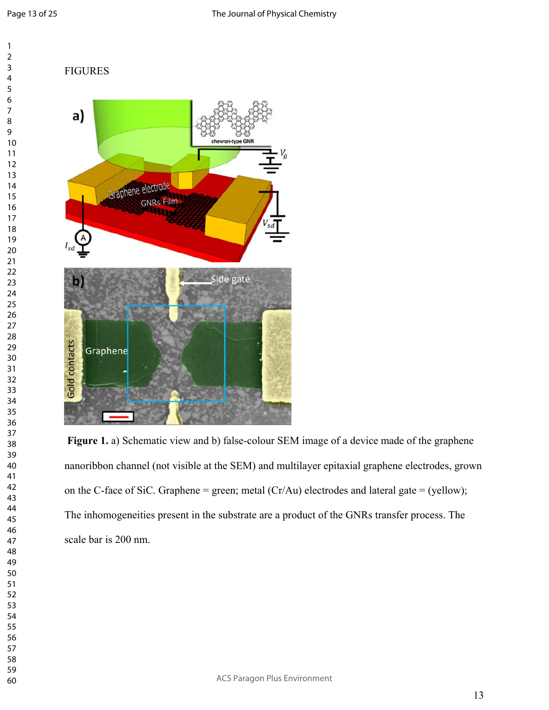#### FIGURES



 **Figure 1.** a) Schematic view and b) false-colour SEM image of a device made of the graphene nanoribbon channel (not visible at the SEM) and multilayer epitaxial graphene electrodes, grown on the C-face of SiC. Graphene = green; metal  $(Cr/Au)$  electrodes and lateral gate = (yellow); The inhomogeneities present in the substrate are a product of the GNRs transfer process. The scale bar is 200 nm.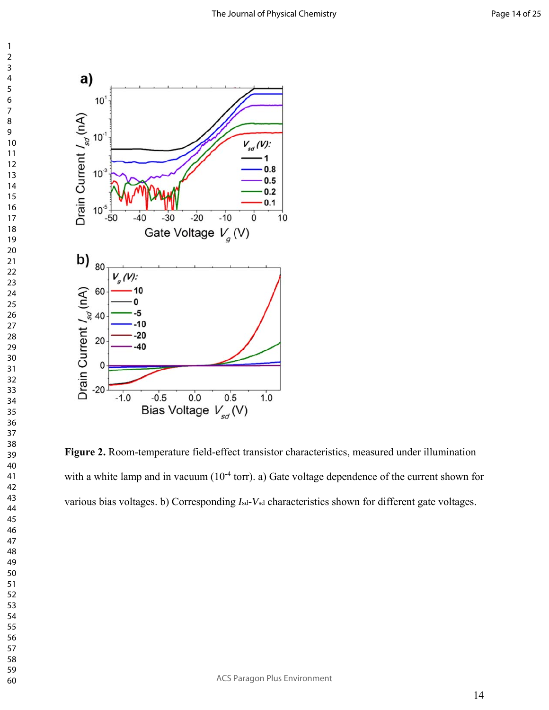

**Figure 2.** Room-temperature field-effect transistor characteristics, measured under illumination with a white lamp and in vacuum  $(10^{-4} \text{ torr})$ . a) Gate voltage dependence of the current shown for various bias voltages. b) Corresponding  $I_{sd}$ - $V_{sd}$  characteristics shown for different gate voltages.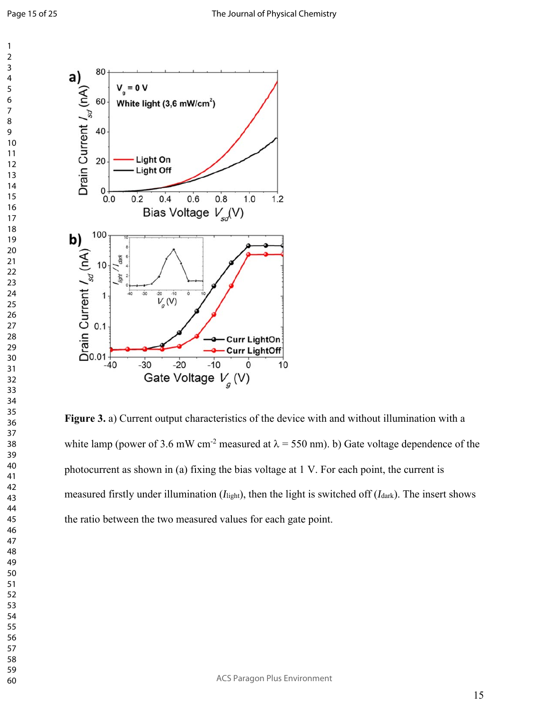

**Figure 3.** a) Current output characteristics of the device with and without illumination with a white lamp (power of 3.6 mW cm<sup>-2</sup> measured at  $\lambda$  = 550 nm). b) Gate voltage dependence of the photocurrent as shown in (a) fixing the bias voltage at 1 V. For each point, the current is measured firstly under illumination (*I*light), then the light is switched off (*I*dark). The insert shows the ratio between the two measured values for each gate point.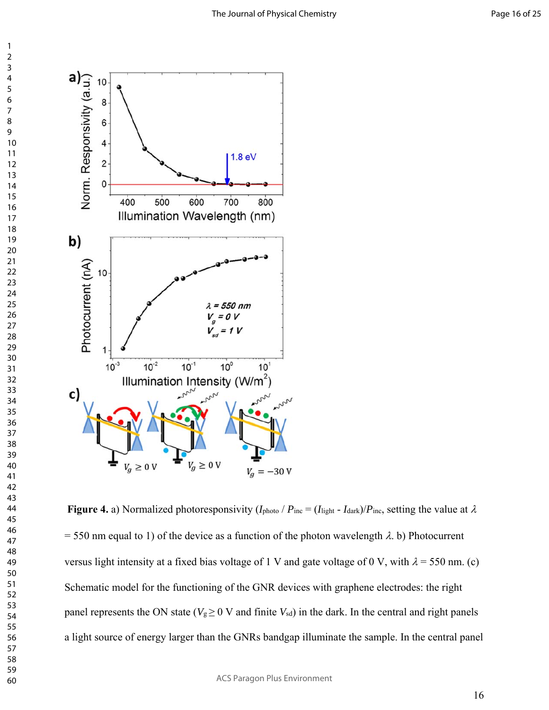

**Figure 4.** a) Normalized photoresponsivity  $(I_{\text{photo}} / P_{\text{inc}} = (I_{\text{light}} - I_{\text{dark}})/P_{\text{inc}}$ , setting the value at  $\lambda$  $= 550$  nm equal to 1) of the device as a function of the photon wavelength  $\lambda$ . b) Photocurrent versus light intensity at a fixed bias voltage of 1 V and gate voltage of 0 V, with  $\lambda$  = 550 nm. (c) Schematic model for the functioning of the GNR devices with graphene electrodes: the right panel represents the ON state ( $V_g \geq 0$  V and finite  $V_{sd}$ ) in the dark. In the central and right panels a light source of energy larger than the GNRs bandgap illuminate the sample. In the central panel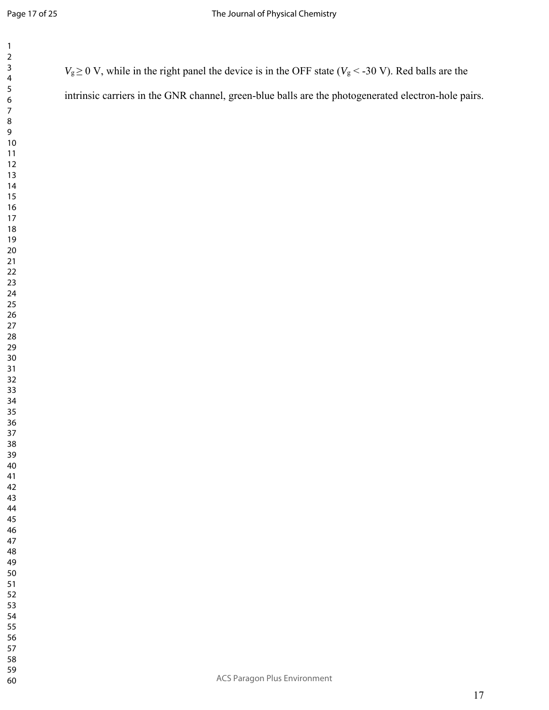| 1                                    |
|--------------------------------------|
| ì                                    |
| 3                                    |
| 4                                    |
| 5                                    |
| 6                                    |
|                                      |
| 8                                    |
| 9                                    |
| 10                                   |
| 11                                   |
| $\overline{c}$<br>1                  |
| 13                                   |
| 14                                   |
| 15                                   |
| 16                                   |
| 17                                   |
| 18<br>19                             |
| $\overline{20}$                      |
|                                      |
| $\frac{1}{2}$<br>$\overline{2}$<br>ž |
| $\overline{2}$<br>3                  |
| $\frac{24}{3}$                       |
| 25                                   |
| 26                                   |
| 27                                   |
| $^{28}$                              |
| 29                                   |
| 30                                   |
| $\overline{\textbf{3}}$              |
| $\overline{2}$<br>Ŝ.                 |
| 33                                   |
| 34                                   |
| 35                                   |
| š<br>6                               |
| $\overline{\mathbf{3}}$              |
| 38                                   |
| 3s<br>€                              |
| 40                                   |
| 41                                   |
| $\overline{4}$<br>C                  |
| 43                                   |
| 44                                   |
| 45                                   |
| 46                                   |
| $\overline{4}$                       |
| 48                                   |
| 49<br>∢                              |
| 50                                   |
| 51                                   |
| 5:                                   |

 $V_g \ge 0$  V, while in the right panel the device is in the OFF state ( $V_g < -30$  V). Red balls are the

intrinsic carriers in the GNR channel, green-blue balls are the photogenerated electron-hole pairs.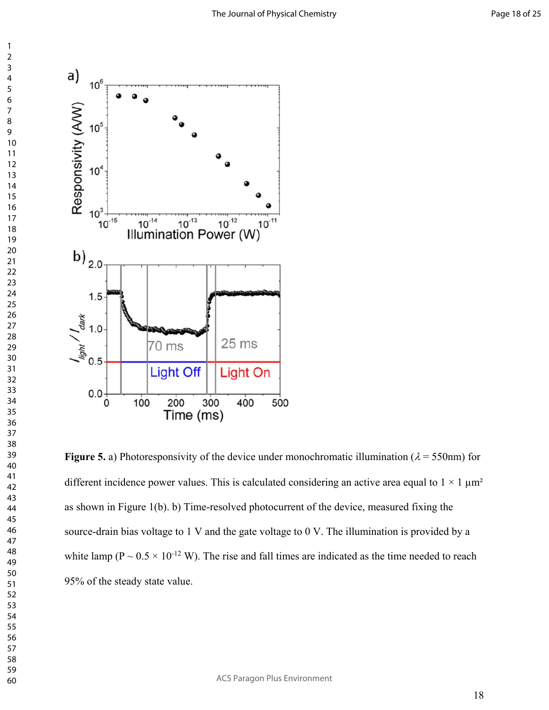

**Figure 5.** a) Photoresponsivity of the device under monochromatic illumination ( $\lambda = 550$ nm) for different incidence power values. This is calculated considering an active area equal to  $1 \times 1 \mu m^2$ as shown in Figure 1(b). b) Time-resolved photocurrent of the device, measured fixing the source-drain bias voltage to 1 V and the gate voltage to 0 V. The illumination is provided by a white lamp ( $P \sim 0.5 \times 10^{-12}$  W). The rise and fall times are indicated as the time needed to reach 95% of the steady state value.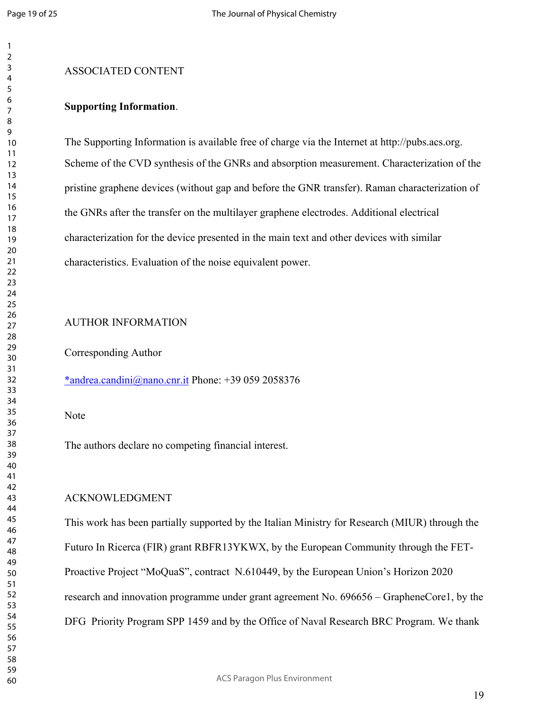#### ASSOCIATED CONTENT

#### **Supporting Information**.

The Supporting Information is available free of charge via the Internet at http://pubs.acs.org. Scheme of the CVD synthesis of the GNRs and absorption measurement. Characterization of the pristine graphene devices (without gap and before the GNR transfer). Raman characterization of the GNRs after the transfer on the multilayer graphene electrodes. Additional electrical characterization for the device presented in the main text and other devices with similar characteristics. Evaluation of the noise equivalent power.

#### AUTHOR INFORMATION

Corresponding Author

\*andrea.candini@nano.cnr.it Phone: +39 059 2058376

#### Note

The authors declare no competing financial interest.

#### ACKNOWLEDGMENT

This work has been partially supported by the Italian Ministry for Research (MIUR) through the Futuro In Ricerca (FIR) grant RBFR13YKWX, by the European Community through the FET-Proactive Project "MoQuaS", contract N.610449, by the European Union's Horizon 2020 research and innovation programme under grant agreement No. 696656 – GrapheneCore1, by the DFG Priority Program SPP 1459 and by the Office of Naval Research BRC Program. We thank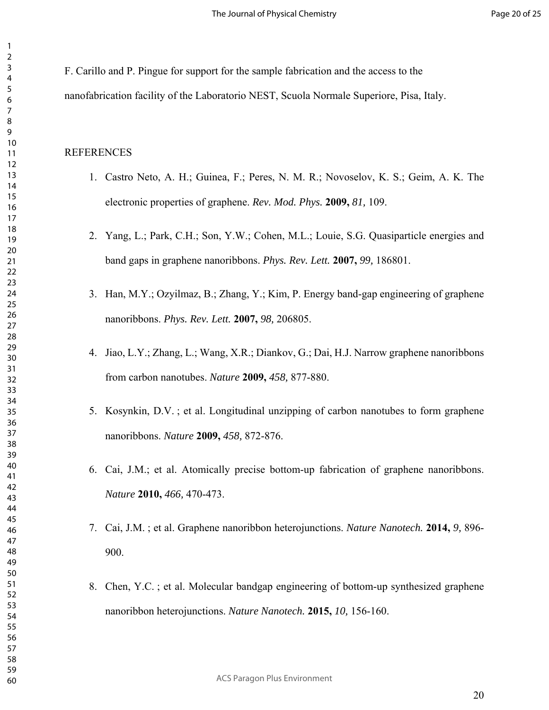F. Carillo and P. Pingue for support for the sample fabrication and the access to the nanofabrication facility of the Laboratorio NEST, Scuola Normale Superiore, Pisa, Italy.

#### REFERENCES

- 1. Castro Neto, A. H.; Guinea, F.; Peres, N. M. R.; Novoselov, K. S.; Geim, A. K. The electronic properties of graphene. *Rev. Mod. Phys.* **2009,** *81,* 109.
- 2. Yang, L.; Park, C.H.; Son, Y.W.; Cohen, M.L.; Louie, S.G. Quasiparticle energies and band gaps in graphene nanoribbons. *Phys. Rev. Lett.* **2007,** *99,* 186801.
- 3. Han, M.Y.; Ozyilmaz, B.; Zhang, Y.; Kim, P. Energy band-gap engineering of graphene nanoribbons. *Phys. Rev. Lett.* **2007,** *98,* 206805.
- 4. Jiao, L.Y.; Zhang, L.; Wang, X.R.; Diankov, G.; Dai, H.J. Narrow graphene nanoribbons from carbon nanotubes. *Nature* **2009,** *458,* 877-880.
- 5. Kosynkin, D.V. ; et al. Longitudinal unzipping of carbon nanotubes to form graphene nanoribbons. *Nature* **2009,** *458,* 872-876.
- 6. Cai, J.M.; et al. Atomically precise bottom-up fabrication of graphene nanoribbons. *Nature* **2010,** *466,* 470-473.
- 7. Cai, J.M. ; et al. Graphene nanoribbon heterojunctions. *Nature Nanotech.* **2014,** *9,* 896- 900.
- 8. Chen, Y.C. ; et al. Molecular bandgap engineering of bottom-up synthesized graphene nanoribbon heterojunctions. *Nature Nanotech.* **2015,** *10,* 156-160.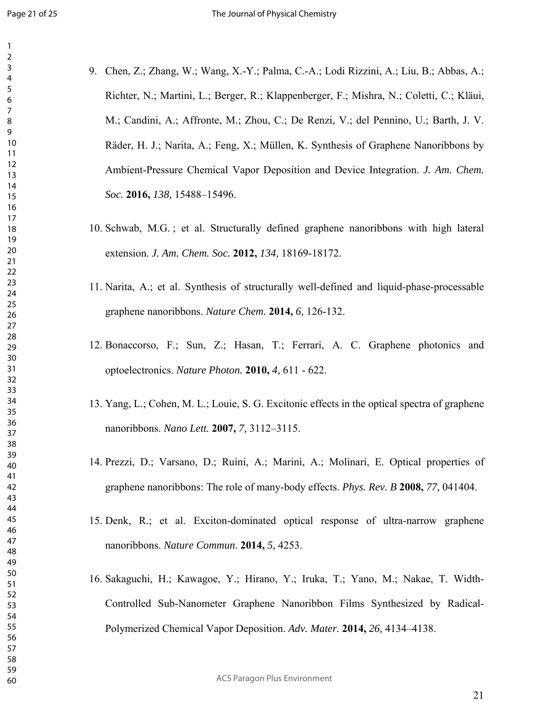- 
- 9. Chen, Z.; Zhang, W.; Wang, X.-Y.; Palma, C.-A.; Lodi Rizzini, A.; Liu, B.; Abbas, A.; Richter, N.; Martini, L.; Berger, R.; Klappenberger, F.; Mishra, N.; Coletti, C.; Kläui, M.; Candini, A.; Affronte, M.; Zhou, C.; De Renzi, V.; del Pennino, U.; Barth, J. V. Räder, H. J.; Narita, A.; Feng, X.; Müllen, K. Synthesis of Graphene Nanoribbons by Ambient-Pressure Chemical Vapor Deposition and Device Integration. *J. Am. Chem. Soc.* **2016,** *138,* 15488–15496.
- 10. Schwab, M.G. ; et al. Structurally defined graphene nanoribbons with high lateral extension. *J. Am. Chem. Soc.* **2012,** *134,* 18169-18172.
- 11. Narita, A.; et al. Synthesis of structurally well-defined and liquid-phase-processable graphene nanoribbons. *Nature Chem.* **2014,** *6,* 126-132.
- 12. Bonaccorso, F.; Sun, Z.; Hasan, T.; Ferrari, A. C. Graphene photonics and optoelectronics. *Nature Photon.* **2010,** *4,* 611 - 622.
- 13. Yang, L.; Cohen, M. L.; Louie, S. G. Excitonic effects in the optical spectra of graphene nanoribbons. *Nano Lett.* **2007,** *7,* 3112–3115.
- 14. Prezzi, D.; Varsano, D.; Ruini, A.; Marini, A.; Molinari, E. Optical properties of graphene nanoribbons: The role of many-body effects. *Phys. Rev. B* **2008,** *77,* 041404.
- 15. Denk, R.; et al. Exciton-dominated optical response of ultra-narrow graphene nanoribbons. *Nature Commun*. **2014,** *5,* 4253.
- 16. Sakaguchi, H.; Kawagoe, Y.; Hirano, Y.; Iruka, T.; Yano, M.; Nakae, T. Width-Controlled Sub-Nanometer Graphene Nanoribbon Films Synthesized by Radical-Polymerized Chemical Vapor Deposition. *Adv. Mater.* **2014,** *26,* 4134–4138.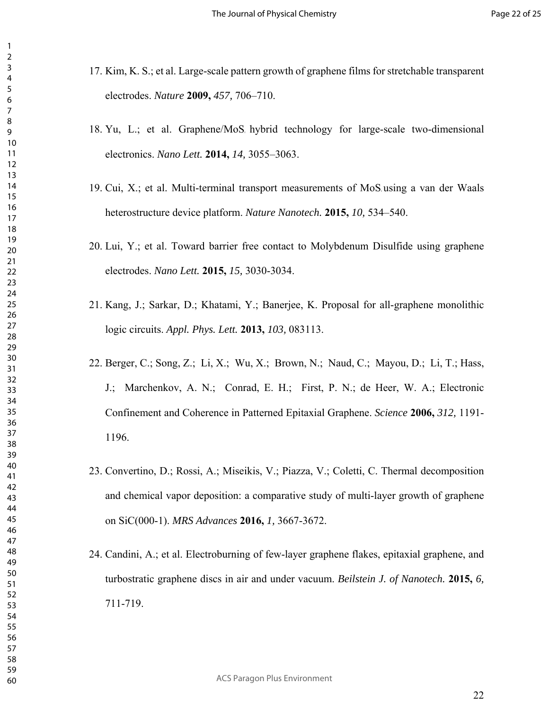- 17. Kim, K. S.; et al. Large-scale pattern growth of graphene films for stretchable transparent electrodes. *Nature* **2009,** *457,* 706–710.
- $18.$  Yu, L.; et al. Graphene/MoS hybrid technology for large-scale two-dimensional electronics. *Nano Lett.* **2014,** *14,* 3055–3063.
- 19. Cui, X.; et al. Multi-terminal transport measurements of MoS using a van der Waals heterostructure device platform. *Nature Nanotech.* **2015,** *10,* 534–540.
- 20. Lui, Y.; et al. Toward barrier free contact to Molybdenum Disulfide using graphene electrodes. *Nano Lett.* **2015,** *15,* 3030-3034.
- 21. Kang, J.; Sarkar, D.; Khatami, Y.; Banerjee, K. Proposal for all-graphene monolithic logic circuits. *Appl. Phys. Lett.* **2013,** *103,* 083113.
- 22. Berger, C.; Song, Z.; Li, X.; Wu, X.; Brown, N.; Naud, C.; Mayou, D.; Li, T.; Hass, J.; Marchenkov, A. N.; Conrad, E. H.; First, P. N.; de Heer, W. A.; Electronic Confinement and Coherence in Patterned Epitaxial Graphene. *Science* **2006,** *312,* 1191- 1196.
- 23. Convertino, D.; Rossi, A.; Miseikis, V.; Piazza, V.; Coletti, C. Thermal decomposition and chemical vapor deposition: a comparative study of multi-layer growth of graphene on SiC(000-1). *MRS Advances* **2016,** *1,* 3667-3672.
- 24. Candini, A.; et al. Electroburning of few-layer graphene flakes, epitaxial graphene, and turbostratic graphene discs in air and under vacuum. *Beilstein J. of Nanotech.* **2015,** *6,* 711-719.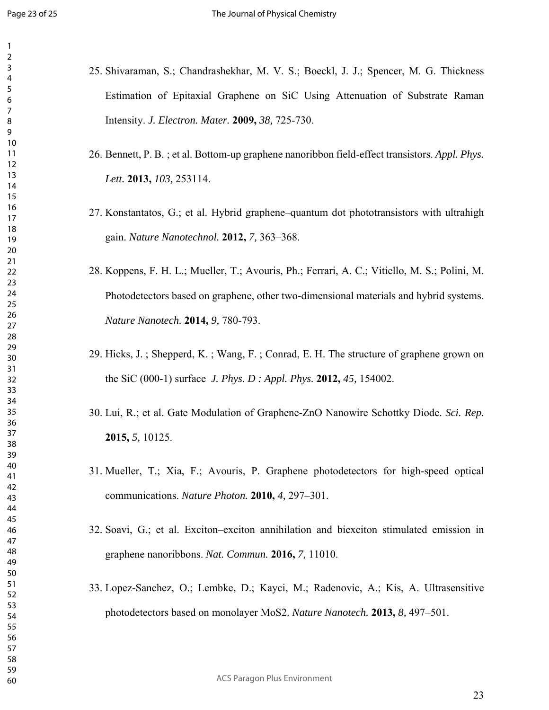- 25. Shivaraman, S.; Chandrashekhar, M. V. S.; Boeckl, J. J.; Spencer, M. G. Thickness Estimation of Epitaxial Graphene on SiC Using Attenuation of Substrate Raman Intensity. *J. Electron. Mater.* **2009,** *38,* 725-730.
	- 26. Bennett, P. B. ; et al. Bottom-up graphene nanoribbon field-effect transistors. *Appl. Phys. Lett.* **2013,** *103,* 253114.
	- 27. Konstantatos, G.; et al. Hybrid graphene–quantum dot phototransistors with ultrahigh gain. *Nature Nanotechnol.* **2012,** *7,* 363–368.
	- 28. Koppens, F. H. L.; Mueller, T.; Avouris, Ph.; Ferrari, A. C.; Vitiello, M. S.; Polini, M. Photodetectors based on graphene, other two-dimensional materials and hybrid systems. *Nature Nanotech.* **2014,** *9,* 780-793.
	- 29. Hicks, J. ; Shepperd, K. ; Wang, F. ; Conrad, E. H. The structure of graphene grown on the SiC (000-1) surface *J. Phys. D : Appl. Phys.* **2012,** *45,* 154002.
	- 30. Lui, R.; et al. Gate Modulation of Graphene-ZnO Nanowire Schottky Diode. *Sci. Rep.* **2015,** *5,* 10125.
	- 31. Mueller, T.; Xia, F.; Avouris, P. Graphene photodetectors for high-speed optical communications. *Nature Photon.* **2010,** *4,* 297–301.
	- 32. Soavi, G.; et al. Exciton–exciton annihilation and biexciton stimulated emission in graphene nanoribbons. *Nat. Commun.* **2016,** *7,* 11010.
	- 33. Lopez-Sanchez, O.; Lembke, D.; Kayci, M.; Radenovic, A.; Kis, A. Ultrasensitive photodetectors based on monolayer MoS2. *Nature Nanotech.* **2013,** *8,* 497–501.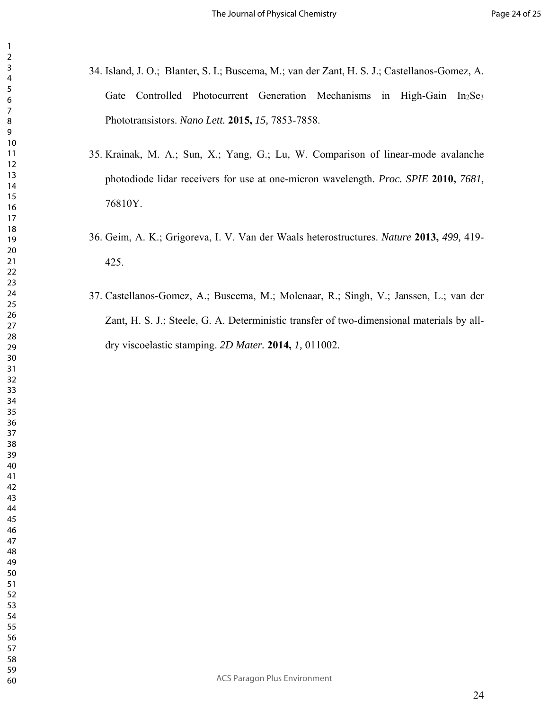- 34. Island, J. O.; Blanter, S. I.; Buscema, M.; van der Zant, H. S. J.; Castellanos-Gomez, A. Gate Controlled Photocurrent Generation Mechanisms in High-Gain In2Se3 Phototransistors. *Nano Lett.* **2015,** *15,* 7853-7858.
- 35. Krainak, M. A.; Sun, X.; Yang, G.; Lu, W. Comparison of linear-mode avalanche photodiode lidar receivers for use at one-micron wavelength. *Proc. SPIE* **2010,** *7681,* 76810Y.
- 36. Geim, A. K.; Grigoreva, I. V. Van der Waals heterostructures. *Nature* **2013,** *499,* 419- 425.
- 37. Castellanos-Gomez, A.; Buscema, M.; Molenaar, R.; Singh, V.; Janssen, L.; van der Zant, H. S. J.; Steele, G. A. Deterministic transfer of two-dimensional materials by alldry viscoelastic stamping. *2D Mater.* **2014,** *1,* 011002.